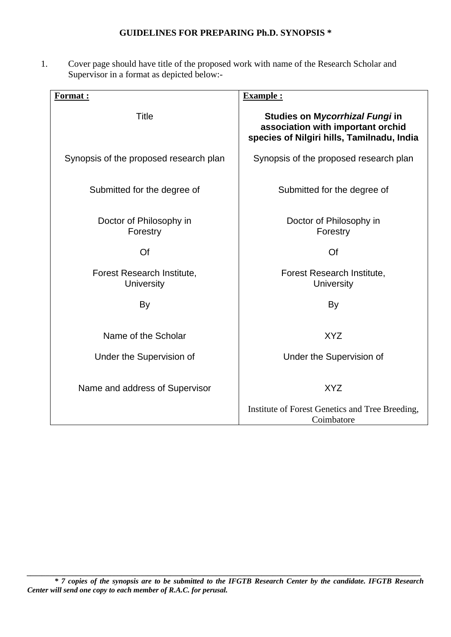## **GUIDELINES FOR PREPARING Ph.D. SYNOPSIS \***

1. Cover page should have title of the proposed work with name of the Research Scholar and Supervisor in a format as depicted below:-

| Format :                                 | <b>Example:</b>                                                                                                            |
|------------------------------------------|----------------------------------------------------------------------------------------------------------------------------|
| Title                                    | Studies on M <i>ycorrhizal Fungi</i> in<br>association with important orchid<br>species of Nilgiri hills, Tamilnadu, India |
| Synopsis of the proposed research plan   | Synopsis of the proposed research plan                                                                                     |
| Submitted for the degree of              | Submitted for the degree of                                                                                                |
| Doctor of Philosophy in<br>Forestry      | Doctor of Philosophy in<br>Forestry                                                                                        |
| Of                                       | Of                                                                                                                         |
| Forest Research Institute,<br>University | Forest Research Institute,<br>University                                                                                   |
| By                                       | By                                                                                                                         |
| Name of the Scholar                      | XYZ                                                                                                                        |
| Under the Supervision of                 | Under the Supervision of                                                                                                   |
| Name and address of Supervisor           | XYZ                                                                                                                        |
|                                          | Institute of Forest Genetics and Tree Breeding,<br>Coimbatore                                                              |

*\_\_\_\_\_\_\_\_\_\_\_\_\_\_\_\_\_\_\_\_\_\_\_\_\_\_\_\_\_\_\_\_\_\_\_\_\_\_\_\_\_\_\_\_\_\_\_\_\_\_\_\_\_\_\_\_\_\_\_\_\_\_\_\_\_\_\_\_\_\_\_\_\_\_\_\_\_\_\_\_\_\_\_\_\_\_\_\_\_\_\_\_\_\_\_\_\_\_\_\_\_\_\_\_*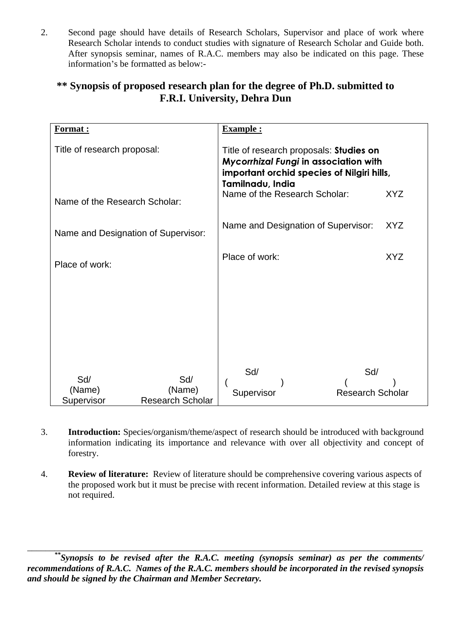2. Second page should have details of Research Scholars, Supervisor and place of work where Research Scholar intends to conduct studies with signature of Research Scholar and Guide both. After synopsis seminar, names of R.A.C. members may also be indicated on this page. These information's be formatted as below:-

# **\*\* Synopsis of proposed research plan for the degree of Ph.D. submitted to F.R.I. University, Dehra Dun**

| Format:                             |                                          | Example :                                                                                                                                                                                  |                                |
|-------------------------------------|------------------------------------------|--------------------------------------------------------------------------------------------------------------------------------------------------------------------------------------------|--------------------------------|
| Title of research proposal:         |                                          | Title of research proposals: Studies on<br><b>Mycorrhizal Fungi in association with</b><br>important orchid species of Nilgiri hills,<br>Tamilnadu, India<br>Name of the Research Scholar: | XYZ                            |
| Name of the Research Scholar:       |                                          |                                                                                                                                                                                            |                                |
| Name and Designation of Supervisor: |                                          | Name and Designation of Supervisor: XYZ                                                                                                                                                    |                                |
| Place of work:                      |                                          | Place of work:                                                                                                                                                                             | XYZ                            |
|                                     |                                          |                                                                                                                                                                                            |                                |
|                                     |                                          |                                                                                                                                                                                            |                                |
|                                     |                                          |                                                                                                                                                                                            |                                |
| Sd/<br>(Name)<br>Supervisor         | Sd/<br>(Name)<br><b>Research Scholar</b> | Sd/<br>Supervisor                                                                                                                                                                          | Sd/<br><b>Research Scholar</b> |

- 3. **Introduction:** Species/organism/theme/aspect of research should be introduced with background information indicating its importance and relevance with over all objectivity and concept of forestry.
- 4. **Review of literature:** Review of literature should be comprehensive covering various aspects of the proposed work but it must be precise with recent information. Detailed review at this stage is not required.

*\*\*Synopsis to be revised after the R.A.C. meeting (synopsis seminar) as per the comments/ recommendations of R.A.C. Names of the R.A.C. members should be incorporated in the revised synopsis and should be signed by the Chairman and Member Secretary.*

\_\_\_\_\_\_\_\_\_\_\_\_\_\_\_\_\_\_\_\_\_\_\_\_\_\_\_\_\_\_\_\_\_\_\_\_\_\_\_\_\_\_\_\_\_\_\_\_\_\_\_\_\_\_\_\_\_\_\_\_\_\_\_\_\_\_\_\_\_\_\_\_\_\_\_\_\_\_\_\_\_\_\_\_\_\_\_